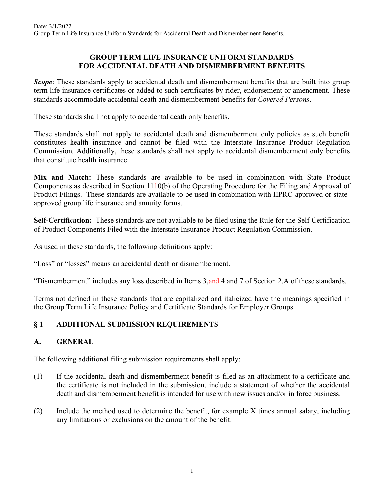### **GROUP TERM LIFE INSURANCE UNIFORM STANDARDS FOR ACCIDENTAL DEATH AND DISMEMBERMENT BENEFITS**

*Scope*: These standards apply to accidental death and dismemberment benefits that are built into group term life insurance certificates or added to such certificates by rider, endorsement or amendment. These standards accommodate accidental death and dismemberment benefits for *Covered Persons*.

These standards shall not apply to accidental death only benefits.

These standards shall not apply to accidental death and dismemberment only policies as such benefit constitutes health insurance and cannot be filed with the Interstate Insurance Product Regulation Commission. Additionally, these standards shall not apply to accidental dismemberment only benefits that constitute health insurance.

**Mix and Match:** These standards are available to be used in combination with State Product Components as described in Section 1110(b) of the Operating Procedure for the Filing and Approval of Product Filings. These standards are available to be used in combination with IIPRC-approved or stateapproved group life insurance and annuity forms.

**Self-Certification:** These standards are not available to be filed using the Rule for the Self-Certification of Product Components Filed with the Interstate Insurance Product Regulation Commission.

As used in these standards, the following definitions apply:

"Loss" or "losses" means an accidental death or dismemberment.

"Dismemberment" includes any loss described in Items  $3$ -and 4 and  $7$  of Section 2.A of these standards.

Terms not defined in these standards that are capitalized and italicized have the meanings specified in the Group Term Life Insurance Policy and Certificate Standards for Employer Groups.

### **§ 1 ADDITIONAL SUBMISSION REQUIREMENTS**

### **A. GENERAL**

The following additional filing submission requirements shall apply:

- (1) If the accidental death and dismemberment benefit is filed as an attachment to a certificate and the certificate is not included in the submission, include a statement of whether the accidental death and dismemberment benefit is intended for use with new issues and/or in force business.
- (2) Include the method used to determine the benefit, for example X times annual salary, including any limitations or exclusions on the amount of the benefit.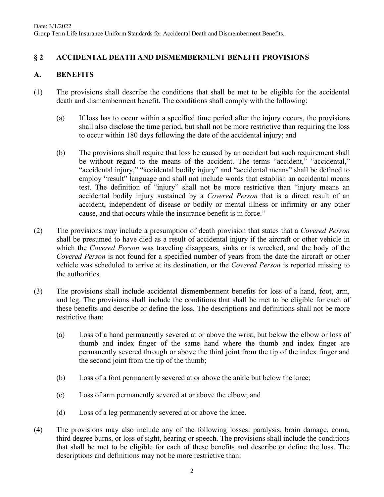# **§ 2 ACCIDENTAL DEATH AND DISMEMBERMENT BENEFIT PROVISIONS**

### **A. BENEFITS**

- (1) The provisions shall describe the conditions that shall be met to be eligible for the accidental death and dismemberment benefit. The conditions shall comply with the following:
	- (a) If loss has to occur within a specified time period after the injury occurs, the provisions shall also disclose the time period, but shall not be more restrictive than requiring the loss to occur within 180 days following the date of the accidental injury; and
	- (b) The provisions shall require that loss be caused by an accident but such requirement shall be without regard to the means of the accident. The terms "accident," "accidental," "accidental injury," "accidental bodily injury" and "accidental means" shall be defined to employ "result" language and shall not include words that establish an accidental means test. The definition of "injury" shall not be more restrictive than "injury means an accidental bodily injury sustained by a *Covered Person* that is a direct result of an accident, independent of disease or bodily or mental illness or infirmity or any other cause, and that occurs while the insurance benefit is in force."
- (2) The provisions may include a presumption of death provision that states that a *Covered Person* shall be presumed to have died as a result of accidental injury if the aircraft or other vehicle in which the *Covered Person* was traveling disappears, sinks or is wrecked, and the body of the *Covered Person* is not found for a specified number of years from the date the aircraft or other vehicle was scheduled to arrive at its destination, or the *Covered Person* is reported missing to the authorities.
- (3) The provisions shall include accidental dismemberment benefits for loss of a hand, foot, arm, and leg. The provisions shall include the conditions that shall be met to be eligible for each of these benefits and describe or define the loss. The descriptions and definitions shall not be more restrictive than:
	- (a) Loss of a hand permanently severed at or above the wrist, but below the elbow or loss of thumb and index finger of the same hand where the thumb and index finger are permanently severed through or above the third joint from the tip of the index finger and the second joint from the tip of the thumb;
	- (b) Loss of a foot permanently severed at or above the ankle but below the knee;
	- (c) Loss of arm permanently severed at or above the elbow; and
	- (d) Loss of a leg permanently severed at or above the knee.
- (4) The provisions may also include any of the following losses: paralysis, brain damage, coma, third degree burns, or loss of sight, hearing or speech. The provisions shall include the conditions that shall be met to be eligible for each of these benefits and describe or define the loss. The descriptions and definitions may not be more restrictive than: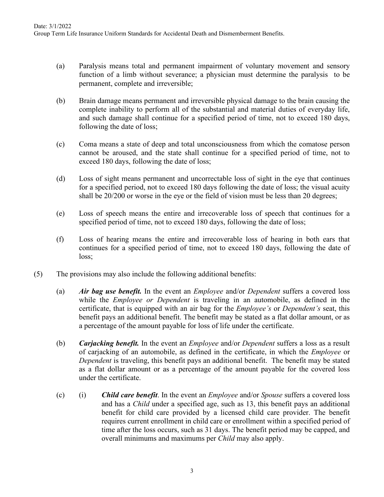- (a) Paralysis means total and permanent impairment of voluntary movement and sensory function of a limb without severance; a physician must determine the paralysis to be permanent, complete and irreversible;
- (b) Brain damage means permanent and irreversible physical damage to the brain causing the complete inability to perform all of the substantial and material duties of everyday life, and such damage shall continue for a specified period of time, not to exceed 180 days, following the date of loss;
- (c) Coma means a state of deep and total unconsciousness from which the comatose person cannot be aroused, and the state shall continue for a specified period of time, not to exceed 180 days, following the date of loss;
- (d) Loss of sight means permanent and uncorrectable loss of sight in the eye that continues for a specified period, not to exceed 180 days following the date of loss; the visual acuity shall be 20/200 or worse in the eye or the field of vision must be less than 20 degrees;
- (e) Loss of speech means the entire and irrecoverable loss of speech that continues for a specified period of time, not to exceed 180 days, following the date of loss;
- (f) Loss of hearing means the entire and irrecoverable loss of hearing in both ears that continues for a specified period of time, not to exceed 180 days, following the date of loss;
- (5) The provisions may also include the following additional benefits:
	- (a) *Air bag use benefit.* In the event an *Employee* and/or *Dependent* suffers a covered loss while the *Employee or Dependent* is traveling in an automobile, as defined in the certificate, that is equipped with an air bag for the *Employee's* or *Dependent's* seat, this benefit pays an additional benefit. The benefit may be stated as a flat dollar amount, or as a percentage of the amount payable for loss of life under the certificate.
	- (b) *Carjacking benefit.* In the event an *Employee* and/or *Dependent* suffers a loss as a result of carjacking of an automobile, as defined in the certificate, in which the *Employee* or *Dependent* is traveling, this benefit pays an additional benefit. The benefit may be stated as a flat dollar amount or as a percentage of the amount payable for the covered loss under the certificate.
	- (c) (i) *Child care benefit*. In the event an *Employee* and/or *Spouse* suffers a covered loss and has a *Child* under a specified age, such as 13, this benefit pays an additional benefit for child care provided by a licensed child care provider. The benefit requires current enrollment in child care or enrollment within a specified period of time after the loss occurs, such as 31 days. The benefit period may be capped, and overall minimums and maximums per *Child* may also apply.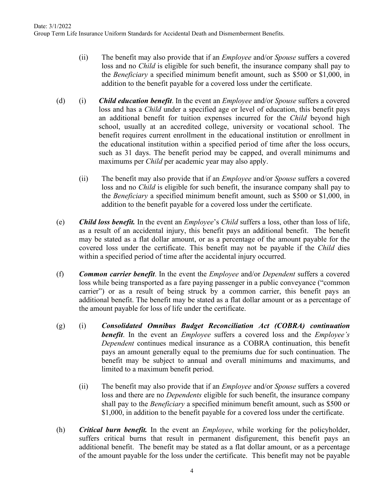- (ii) The benefit may also provide that if an *Employee* and/or *Spouse* suffers a covered loss and no *Child* is eligible for such benefit, the insurance company shall pay to the *Beneficiary* a specified minimum benefit amount, such as \$500 or \$1,000, in addition to the benefit payable for a covered loss under the certificate.
- (d) (i) *Child education benefit*. In the event an *Employee* and/or *Spouse* suffers a covered loss and has a *Child* under a specified age or level of education, this benefit pays an additional benefit for tuition expenses incurred for the *Child* beyond high school, usually at an accredited college, university or vocational school. The benefit requires current enrollment in the educational institution or enrollment in the educational institution within a specified period of time after the loss occurs, such as 31 days. The benefit period may be capped, and overall minimums and maximums per *Child* per academic year may also apply.
	- (ii) The benefit may also provide that if an *Employee* and/or *Spouse* suffers a covered loss and no *Child* is eligible for such benefit, the insurance company shall pay to the *Beneficiary* a specified minimum benefit amount, such as \$500 or \$1,000, in addition to the benefit payable for a covered loss under the certificate.
- (e) *Child loss benefit.* In the event an *Employee*'s *Child* suffers a loss, other than loss of life, as a result of an accidental injury, this benefit pays an additional benefit. The benefit may be stated as a flat dollar amount, or as a percentage of the amount payable for the covered loss under the certificate. This benefit may not be payable if the *Child* dies within a specified period of time after the accidental injury occurred.
- (f) *Common carrier benefit*. In the event the *Employee* and/or *Dependent* suffers a covered loss while being transported as a fare paying passenger in a public conveyance ("common carrier") or as a result of being struck by a common carrier, this benefit pays an additional benefit. The benefit may be stated as a flat dollar amount or as a percentage of the amount payable for loss of life under the certificate.
- (g) (i) *Consolidated Omnibus Budget Reconciliation Act (COBRA) continuation benefit*. In the event an *Employee* suffers a covered loss and the *Employee's Dependent* continues medical insurance as a COBRA continuation, this benefit pays an amount generally equal to the premiums due for such continuation. The benefit may be subject to annual and overall minimums and maximums, and limited to a maximum benefit period.
	- (ii) The benefit may also provide that if an *Employee* and/or *Spouse* suffers a covered loss and there are no *Dependents* eligible for such benefit, the insurance company shall pay to the *Beneficiary* a specified minimum benefit amount, such as \$500 or \$1,000, in addition to the benefit payable for a covered loss under the certificate.
- (h) *Critical burn benefit.* In the event an *Employee*, while working for the policyholder, suffers critical burns that result in permanent disfigurement, this benefit pays an additional benefit. The benefit may be stated as a flat dollar amount, or as a percentage of the amount payable for the loss under the certificate. This benefit may not be payable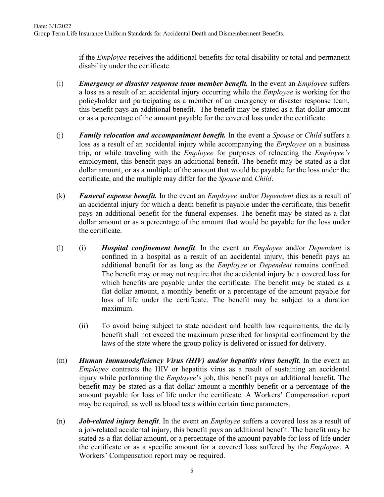if the *Employee* receives the additional benefits for total disability or total and permanent disability under the certificate.

- (i) *Emergency or disaster response team member benefit.* In the event an *Employee* suffers a loss as a result of an accidental injury occurring while the *Employee* is working for the policyholder and participating as a member of an emergency or disaster response team, this benefit pays an additional benefit. The benefit may be stated as a flat dollar amount or as a percentage of the amount payable for the covered loss under the certificate.
- (j) *Family relocation and accompaniment benefit.* In the event a *Spouse* or *Child* suffers a loss as a result of an accidental injury while accompanying the *Employee* on a business trip, or while traveling with the *Employee* for purposes of relocating the *Employee's* employment, this benefit pays an additional benefit. The benefit may be stated as a flat dollar amount, or as a multiple of the amount that would be payable for the loss under the certificate, and the multiple may differ for the *Spouse* and *Child*.
- (k) *Funeral expense benefit.* In the event an *Employee* and/or *Dependent* dies as a result of an accidental injury for which a death benefit is payable under the certificate, this benefit pays an additional benefit for the funeral expenses. The benefit may be stated as a flat dollar amount or as a percentage of the amount that would be payable for the loss under the certificate.
- (l) (i) *Hospital confinement benefit*. In the event an *Employee* and/or *Dependent* is confined in a hospital as a result of an accidental injury, this benefit pays an additional benefit for as long as the *Employee* or *Dependent* remains confined. The benefit may or may not require that the accidental injury be a covered loss for which benefits are payable under the certificate. The benefit may be stated as a flat dollar amount, a monthly benefit or a percentage of the amount payable for loss of life under the certificate. The benefit may be subject to a duration maximum.
	- (ii) To avoid being subject to state accident and health law requirements, the daily benefit shall not exceed the maximum prescribed for hospital confinement by the laws of the state where the group policy is delivered or issued for delivery.
- (m) *Human Immunodeficiency Virus (HIV) and/or hepatitis virus benefit.* In the event an *Employee* contracts the HIV or hepatitis virus as a result of sustaining an accidental injury while performing the *Employee*'s job, this benefit pays an additional benefit. The benefit may be stated as a flat dollar amount a monthly benefit or a percentage of the amount payable for loss of life under the certificate. A Workers' Compensation report may be required, as well as blood tests within certain time parameters.
- (n) *Job-related injury benefit*. In the event an *Employee* suffers a covered loss as a result of a job-related accidental injury, this benefit pays an additional benefit. The benefit may be stated as a flat dollar amount, or a percentage of the amount payable for loss of life under the certificate or as a specific amount for a covered loss suffered by the *Employee*. A Workers' Compensation report may be required.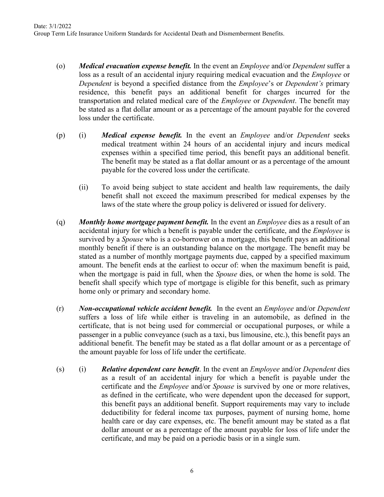- (o) *Medical evacuation expense benefit.* In the event an *Employee* and/or *Dependent* suffer a loss as a result of an accidental injury requiring medical evacuation and the *Employee* or *Dependent* is beyond a specified distance from the *Employee*'s or *Dependent's* primary residence, this benefit pays an additional benefit for charges incurred for the transportation and related medical care of the *Employee* or *Dependent*. The benefit may be stated as a flat dollar amount or as a percentage of the amount payable for the covered loss under the certificate.
- (p) (i) *Medical expense benefit.* In the event an *Employee* and/or *Dependent* seeks medical treatment within 24 hours of an accidental injury and incurs medical expenses within a specified time period, this benefit pays an additional benefit. The benefit may be stated as a flat dollar amount or as a percentage of the amount payable for the covered loss under the certificate.
	- (ii) To avoid being subject to state accident and health law requirements, the daily benefit shall not exceed the maximum prescribed for medical expenses by the laws of the state where the group policy is delivered or issued for delivery.
- (q) *Monthly home mortgage payment benefit.* In the event an *Employee* dies as a result of an accidental injury for which a benefit is payable under the certificate, and the *Employee* is survived by a *Spouse* who is a co-borrower on a mortgage, this benefit pays an additional monthly benefit if there is an outstanding balance on the mortgage. The benefit may be stated as a number of monthly mortgage payments due, capped by a specified maximum amount. The benefit ends at the earliest to occur of: when the maximum benefit is paid, when the mortgage is paid in full, when the *Spouse* dies, or when the home is sold. The benefit shall specify which type of mortgage is eligible for this benefit, such as primary home only or primary and secondary home.
- (r) *Non-occupational vehicle accident benefit.* In the event an *Employee* and/or *Dependent* suffers a loss of life while either is traveling in an automobile, as defined in the certificate, that is not being used for commercial or occupational purposes, or while a passenger in a public conveyance (such as a taxi, bus limousine, etc.), this benefit pays an additional benefit. The benefit may be stated as a flat dollar amount or as a percentage of the amount payable for loss of life under the certificate.
- (s) (i) *Relative dependent care benefit*. In the event an *Employee* and/or *Dependent* dies as a result of an accidental injury for which a benefit is payable under the certificate and the *Employee* and/or *Spouse* is survived by one or more relatives, as defined in the certificate, who were dependent upon the deceased for support, this benefit pays an additional benefit. Support requirements may vary to include deductibility for federal income tax purposes, payment of nursing home, home health care or day care expenses, etc. The benefit amount may be stated as a flat dollar amount or as a percentage of the amount payable for loss of life under the certificate, and may be paid on a periodic basis or in a single sum.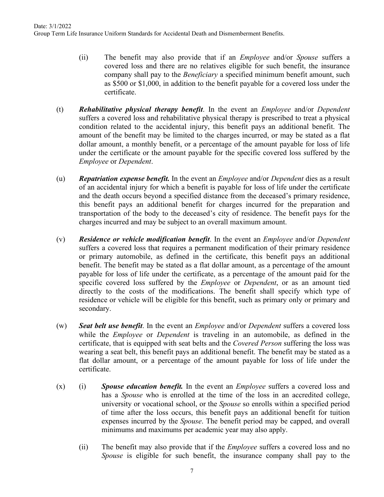- (ii) The benefit may also provide that if an *Employee* and/or *Spouse* suffers a covered loss and there are no relatives eligible for such benefit, the insurance company shall pay to the *Beneficiary* a specified minimum benefit amount, such as \$500 or \$1,000, in addition to the benefit payable for a covered loss under the certificate.
- (t) *Rehabilitative physical therapy benefit*. In the event an *Employee* and/or *Dependent* suffers a covered loss and rehabilitative physical therapy is prescribed to treat a physical condition related to the accidental injury, this benefit pays an additional benefit. The amount of the benefit may be limited to the charges incurred, or may be stated as a flat dollar amount, a monthly benefit, or a percentage of the amount payable for loss of life under the certificate or the amount payable for the specific covered loss suffered by the *Employee* or *Dependent*.
- (u) *Repatriation expense benefit.* In the event an *Employee* and/or *Dependent* dies as a result of an accidental injury for which a benefit is payable for loss of life under the certificate and the death occurs beyond a specified distance from the deceased's primary residence, this benefit pays an additional benefit for charges incurred for the preparation and transportation of the body to the deceased's city of residence. The benefit pays for the charges incurred and may be subject to an overall maximum amount.
- (v) *Residence or vehicle modification benefit*. In the event an *Employee* and/or *Dependent* suffers a covered loss that requires a permanent modification of their primary residence or primary automobile, as defined in the certificate, this benefit pays an additional benefit. The benefit may be stated as a flat dollar amount, as a percentage of the amount payable for loss of life under the certificate, as a percentage of the amount paid for the specific covered loss suffered by the *Employee* or *Dependent*, or as an amount tied directly to the costs of the modifications. The benefit shall specify which type of residence or vehicle will be eligible for this benefit, such as primary only or primary and secondary.
- (w) *Seat belt use benefit*. In the event an *Employee* and/or *Dependent* suffers a covered loss while the *Employee* or *Dependent* is traveling in an automobile, as defined in the certificate, that is equipped with seat belts and the *Covered Person* suffering the loss was wearing a seat belt, this benefit pays an additional benefit. The benefit may be stated as a flat dollar amount, or a percentage of the amount payable for loss of life under the certificate.
- (x) (i) *Spouse education benefit.* In the event an *Employee* suffers a covered loss and has a *Spouse* who is enrolled at the time of the loss in an accredited college, university or vocational school, or the *Spouse* so enrolls within a specified period of time after the loss occurs, this benefit pays an additional benefit for tuition expenses incurred by the *Spouse*. The benefit period may be capped, and overall minimums and maximums per academic year may also apply.
	- (ii) The benefit may also provide that if the *Employee* suffers a covered loss and no *Spouse* is eligible for such benefit, the insurance company shall pay to the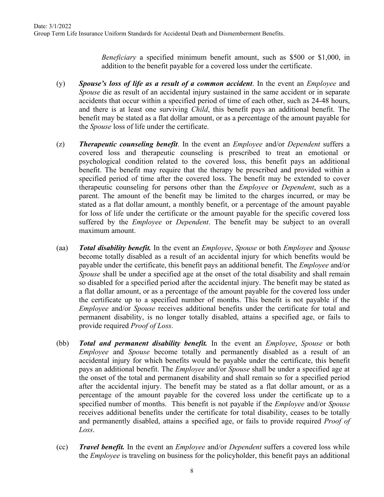*Beneficiary* a specified minimum benefit amount, such as \$500 or \$1,000, in addition to the benefit payable for a covered loss under the certificate.

- (y) *Spouse's loss of life as a result of a common accident*. In the event an *Employee* and *Spouse* die as result of an accidental injury sustained in the same accident or in separate accidents that occur within a specified period of time of each other, such as 24-48 hours, and there is at least one surviving *Child*, this benefit pays an additional benefit. The benefit may be stated as a flat dollar amount, or as a percentage of the amount payable for the *Spouse* loss of life under the certificate.
- (z) *Therapeutic counseling benefit*. In the event an *Employee* and/or *Dependent* suffers a covered loss and therapeutic counseling is prescribed to treat an emotional or psychological condition related to the covered loss, this benefit pays an additional benefit. The benefit may require that the therapy be prescribed and provided within a specified period of time after the covered loss. The benefit may be extended to cover therapeutic counseling for persons other than the *Employee* or *Dependent*, such as a parent. The amount of the benefit may be limited to the charges incurred, or may be stated as a flat dollar amount, a monthly benefit, or a percentage of the amount payable for loss of life under the certificate or the amount payable for the specific covered loss suffered by the *Employee* or *Dependent*. The benefit may be subject to an overall maximum amount.
- (aa) *Total disability benefit.* In the event an *Employee*, *Spouse* or both *Employee* and *Spouse* become totally disabled as a result of an accidental injury for which benefits would be payable under the certificate, this benefit pays an additional benefit. The *Employee* and/or *Spouse* shall be under a specified age at the onset of the total disability and shall remain so disabled for a specified period after the accidental injury. The benefit may be stated as a flat dollar amount, or as a percentage of the amount payable for the covered loss under the certificate up to a specified number of months. This benefit is not payable if the *Employee* and/or *Spouse* receives additional benefits under the certificate for total and permanent disability, is no longer totally disabled, attains a specified age, or fails to provide required *Proof of Loss*.
- (bb) *Total and permanent disability benefit.* In the event an *Employee*, *Spouse* or both *Employee* and *Spouse* become totally and permanently disabled as a result of an accidental injury for which benefits would be payable under the certificate, this benefit pays an additional benefit. The *Employee* and/or *Spouse* shall be under a specified age at the onset of the total and permanent disability and shall remain so for a specified period after the accidental injury. The benefit may be stated as a flat dollar amount, or as a percentage of the amount payable for the covered loss under the certificate up to a specified number of months. This benefit is not payable if the *Employee* and/or *Spouse* receives additional benefits under the certificate for total disability, ceases to be totally and permanently disabled, attains a specified age, or fails to provide required *Proof of Loss*.
- (cc) *Travel benefit.* In the event an *Employee* and/or *Dependent* suffers a covered loss while the *Employee* is traveling on business for the policyholder, this benefit pays an additional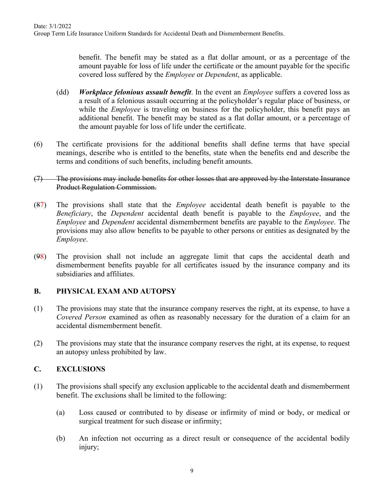benefit. The benefit may be stated as a flat dollar amount, or as a percentage of the amount payable for loss of life under the certificate or the amount payable for the specific covered loss suffered by the *Employee* or *Dependent*, as applicable.

- (dd) *Workplace felonious assault benefit*. In the event an *Employee* suffers a covered loss as a result of a felonious assault occurring at the policyholder's regular place of business, or while the *Employee* is traveling on business for the policyholder, this benefit pays an additional benefit. The benefit may be stated as a flat dollar amount, or a percentage of the amount payable for loss of life under the certificate.
- (6) The certificate provisions for the additional benefits shall define terms that have special meanings, describe who is entitled to the benefits, state when the benefits end and describe the terms and conditions of such benefits, including benefit amounts.

#### (7) The provisions may include benefits for other losses that are approved by the Interstate Insurance Product Regulation Commission.

- (87) The provisions shall state that the *Employee* accidental death benefit is payable to the *Beneficiary*, the *Dependent* accidental death benefit is payable to the *Employee*, and the *Employee* and *Dependent* accidental dismemberment benefits are payable to the *Employee*. The provisions may also allow benefits to be payable to other persons or entities as designated by the *Employee*.
- (98) The provision shall not include an aggregate limit that caps the accidental death and dismemberment benefits payable for all certificates issued by the insurance company and its subsidiaries and affiliates.

### **B. PHYSICAL EXAM AND AUTOPSY**

- (1) The provisions may state that the insurance company reserves the right, at its expense, to have a *Covered Person* examined as often as reasonably necessary for the duration of a claim for an accidental dismemberment benefit.
- (2) The provisions may state that the insurance company reserves the right, at its expense, to request an autopsy unless prohibited by law.

### **C. EXCLUSIONS**

- (1) The provisions shall specify any exclusion applicable to the accidental death and dismemberment benefit. The exclusions shall be limited to the following:
	- (a) Loss caused or contributed to by disease or infirmity of mind or body, or medical or surgical treatment for such disease or infirmity;
	- (b) An infection not occurring as a direct result or consequence of the accidental bodily injury;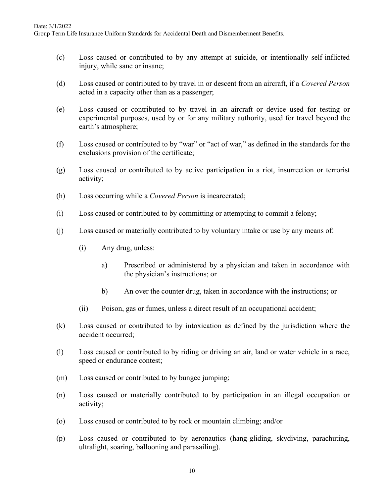Group Term Life Insurance Uniform Standards for Accidental Death and Dismemberment Benefits.

- (c) Loss caused or contributed to by any attempt at suicide, or intentionally self-inflicted injury, while sane or insane;
- (d) Loss caused or contributed to by travel in or descent from an aircraft, if a *Covered Person* acted in a capacity other than as a passenger;
- (e) Loss caused or contributed to by travel in an aircraft or device used for testing or experimental purposes, used by or for any military authority, used for travel beyond the earth's atmosphere;
- (f) Loss caused or contributed to by "war" or "act of war," as defined in the standards for the exclusions provision of the certificate;
- (g) Loss caused or contributed to by active participation in a riot, insurrection or terrorist activity;
- (h) Loss occurring while a *Covered Person* is incarcerated;
- (i) Loss caused or contributed to by committing or attempting to commit a felony;
- (j) Loss caused or materially contributed to by voluntary intake or use by any means of:
	- (i) Any drug, unless:
		- a) Prescribed or administered by a physician and taken in accordance with the physician's instructions; or
		- b) An over the counter drug, taken in accordance with the instructions; or
	- (ii) Poison, gas or fumes, unless a direct result of an occupational accident;
- (k) Loss caused or contributed to by intoxication as defined by the jurisdiction where the accident occurred;
- (l) Loss caused or contributed to by riding or driving an air, land or water vehicle in a race, speed or endurance contest;
- (m) Loss caused or contributed to by bungee jumping;
- (n) Loss caused or materially contributed to by participation in an illegal occupation or activity;
- (o) Loss caused or contributed to by rock or mountain climbing; and/or
- (p) Loss caused or contributed to by aeronautics (hang-gliding, skydiving, parachuting, ultralight, soaring, ballooning and parasailing).